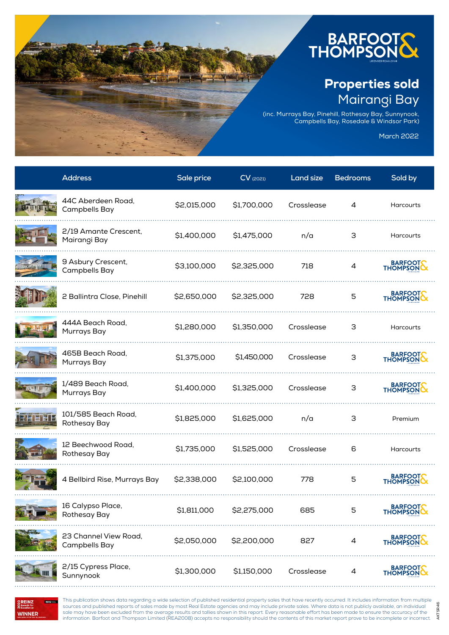

(inc. Murrays Bay, Pinehill, Rothesay Bay, Sunnynook, Campbells Bay, Rosedale & Windsor Park)

March 2022

AKTSR46

AKTSR46

| <b>Address</b>                         | Sale price  | $CV$ (2021) | <b>Land size</b> | <b>Bedrooms</b> | Sold by              |
|----------------------------------------|-------------|-------------|------------------|-----------------|----------------------|
| 44C Aberdeen Road,<br>Campbells Bay    | \$2,015,000 | \$1,700,000 | Crosslease       | 4               | Harcourts            |
| 2/19 Amante Crescent,<br>Mairangi Bay  | \$1,400,000 | \$1,475,000 | n/a              | 3               | <b>Harcourts</b>     |
| 9 Asbury Crescent,<br>Campbells Bay    | \$3,100,000 | \$2,325,000 | 718              | 4               | BARFOOT              |
| 2 Ballintra Close, Pinehill            | \$2,650,000 | \$2,325,000 | 728              | 5               | BARFOOTS<br>THOMPSON |
| 444A Beach Road,<br>Murrays Bay        | \$1,280,000 | \$1,350,000 | Crosslease       | З               | Harcourts            |
| 465B Beach Road,<br>Murrays Bay        | \$1,375,000 | \$1,450,000 | Crosslease       | З               | BARFOOT              |
| 1/489 Beach Road,<br>Murrays Bay       | \$1,400,000 | \$1,325,000 | Crosslease       | 3               | BARFOOT              |
| 101/585 Beach Road,<br>Rothesay Bay    | \$1,825,000 | \$1,625,000 | n/a              | З               | Premium              |
| 12 Beechwood Road,<br>Rothesay Bay     | \$1,735,000 | \$1,525,000 | Crosslease       | 6               | Harcourts            |
| 4 Bellbird Rise, Murrays Bay           | \$2,338,000 | \$2,100,000 | 778              | 5               | BARFOOT              |
| 16 Calypso Place,<br>Rothesay Bay      | \$1,811,000 | \$2,275,000 | 685              | 5               | BARFOOT              |
| 23 Channel View Road,<br>Campbells Bay | \$2,050,000 | \$2,200,000 | 827              | 4               | BARFOOT              |
| 2/15 Cypress Place,<br>Sunnynook       | \$1,300,000 | \$1,150,000 | Crosslease       | 4               | BARFOOT              |

REINZ **REINZ WINNER** 

This publication shows data regarding a wide selection of published residential property sales that have recently occurred. It includes information from multiple sources and published reports of sales made by most Real Estate agencies and may include private sales. Where data is not publicly available, an individual sale may have been excluded from the average results and tallies shown in this report. Every reasonable effort has been made to ensure the accuracy of the information. Barfoot and Thompson Limited (REA2008) accepts no responsibility should the contents of this market report prove to be incomplete or incorrect.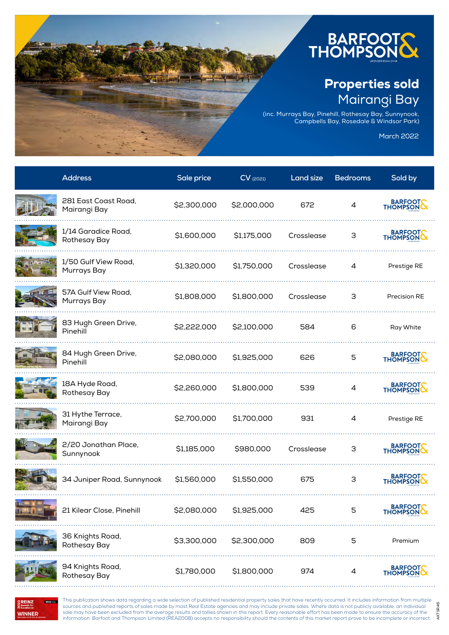

(inc. Murrays Bay, Pinehill, Rothesay Bay, Sunnynook, Campbells Bay, Rosedale & Windsor Park)

March 2022

AKTSR46

AKTSR46

|               | <b>Address</b>                       | Sale price  | $CV$ (2021) | <b>Land size</b> | <b>Bedrooms</b> | Sold by              |
|---------------|--------------------------------------|-------------|-------------|------------------|-----------------|----------------------|
|               | 281 East Coast Road,<br>Mairangi Bay | \$2,300,000 | \$2,000,000 | 672              | 4               | BARFOOTS<br>THOMPSON |
|               | 1/14 Garadice Road,<br>Rothesay Bay  | \$1,600,000 | \$1,175,000 | Crosslease       | 3               | BARFOOT              |
|               | 1/50 Gulf View Road,<br>Murrays Bay  | \$1,320,000 | \$1,750,000 | Crosslease       | 4               | Prestige RE          |
|               | 57A Gulf View Road,<br>Murrays Bay   | \$1,808,000 | \$1,800,000 | Crosslease       | 3               | Precision RE         |
|               | 83 Hugh Green Drive,<br>Pinehill     | \$2,222,000 | \$2,100,000 | 584              | 6               | Ray White            |
|               | 84 Hugh Green Drive,<br>Pinehill     | \$2,080,000 | \$1,925,000 | 626              | 5               | BARFOOT              |
|               | 18A Hyde Road,<br>Rothesay Bay       | \$2,260,000 | \$1,800,000 | 539              | 4               | BARFOOT              |
|               | 31 Hythe Terrace,<br>Mairangi Bay    | \$2,700,000 | \$1,700,000 | 931              | 4               | Prestige RE          |
|               | 2/20 Jonathan Place,<br>Sunnynook    | \$1,185,000 | \$980,000   | Crosslease       | З               | BARFOOT              |
|               | 34 Juniper Road, Sunnynook           | \$1,560,000 | \$1,550,000 | 675              | 3               | BARFOOT              |
| <b>NUMBER</b> | 21 Kilear Close, Pinehill            | \$2,080,000 | \$1,925,000 | 425              | 5               | BARFOOT<br>THOMPSON  |
|               | 36 Knights Road,<br>Rothesay Bay     | \$3,300,000 | \$2,300,000 | 809              | 5               | Premium              |
|               | 94 Knights Road,<br>Rothesay Bay     | \$1,780,000 | \$1,800,000 | 974              | 4               | BARFOOT              |



This publication shows data regarding a wide selection of published residential property sales that have recently occurred. It includes information from multiple sources and published reports of sales made by most Real Estate agencies and may include private sales. Where data is not publicly available, an individual sale may have been excluded from the average results and tallies shown in this report. Every reasonable effort has been made to ensure the accuracy of the information. Barfoot and Thompson Limited (REA2008) accepts no responsibility should the contents of this market report prove to be incomplete or incorrect.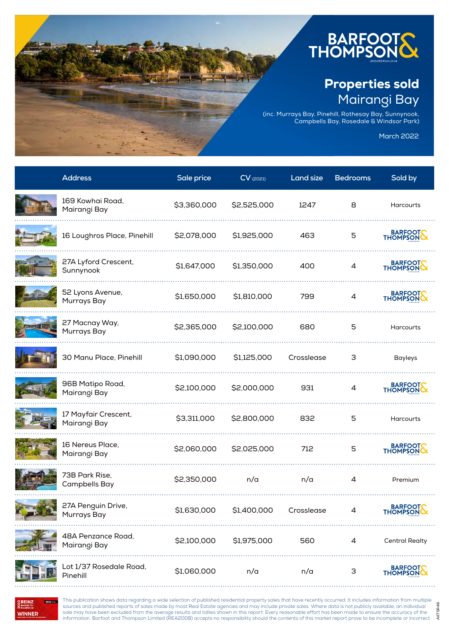

(inc. Murrays Bay, Pinehill, Rothesay Bay, Sunnynook, Campbells Bay, Rosedale & Windsor Park)

March 2022

AKTSR46

AKTSR46

| <b>Address</b>                       | Sale price  | $CV$ (2021) | <b>Land size</b> | <b>Bedrooms</b> | Sold by               |
|--------------------------------------|-------------|-------------|------------------|-----------------|-----------------------|
| 169 Kowhai Road,<br>Mairangi Bay     | \$3,360,000 | \$2,525,000 | 1247             | 8               | Harcourts             |
| 16 Loughros Place, Pinehill          | \$2,078,000 | \$1,925,000 | 463              | 5               | BARFOOT               |
| 27A Lyford Crescent,<br>Sunnynook    | \$1,647,000 | \$1,350,000 | 400              | 4               | BARFOOT               |
| 52 Lyons Avenue,<br>Murrays Bay      | \$1,650,000 | \$1,810,000 | 799              | 4               | BARFOOT               |
| 27 Macnay Way,<br>Murrays Bay        | \$2,365,000 | \$2,100,000 | 680              | 5               | <b>Harcourts</b>      |
| 30 Manu Place, Pinehill              | \$1,090,000 | \$1,125,000 | Crosslease       | 3               | <b>Bayleys</b>        |
| 96B Matipo Road,<br>Mairangi Bay     | \$2,100,000 | \$2,000,000 | 931              | 4               | BARFOOT               |
| 17 Mayfair Crescent,<br>Mairangi Bay | \$3,311,000 | \$2,800,000 | 832              | 5               | Harcourts             |
| 16 Nereus Place,<br>Mairangi Bay     | \$2,060,000 | \$2,025,000 | 712              | 5               | BARFOOT               |
| 73B Park Rise,<br>Campbells Bay      | \$2,350,000 | n/a         | n/a              | 4               | Premium               |
| 27A Penguin Drive,<br>Murrays Bay    | \$1,630,000 | \$1,400,000 | Crosslease       | 4               | BARFOOT<br>THOMPSON   |
| 48A Penzance Road,<br>Mairangi Bay   | \$2,100,000 | \$1,975,000 | 560              | 4               | <b>Central Realty</b> |
| Lot 1/37 Rosedale Road,<br>Pinehill  | \$1,060,000 | n/a         | n/a              | 3               | BARFOOT               |



This publication shows data regarding a wide selection of published residential property sales that have recently occurred. It includes information from multiple sources and published reports of sales made by most Real Estate agencies and may include private sales. Where data is not publicly available, an individual sale may have been excluded from the average results and tallies shown in this report. Every reasonable effort has been made to ensure the accuracy of the information. Barfoot and Thompson Limited (REA2008) accepts no responsibility should the contents of this market report prove to be incomplete or incorrect.